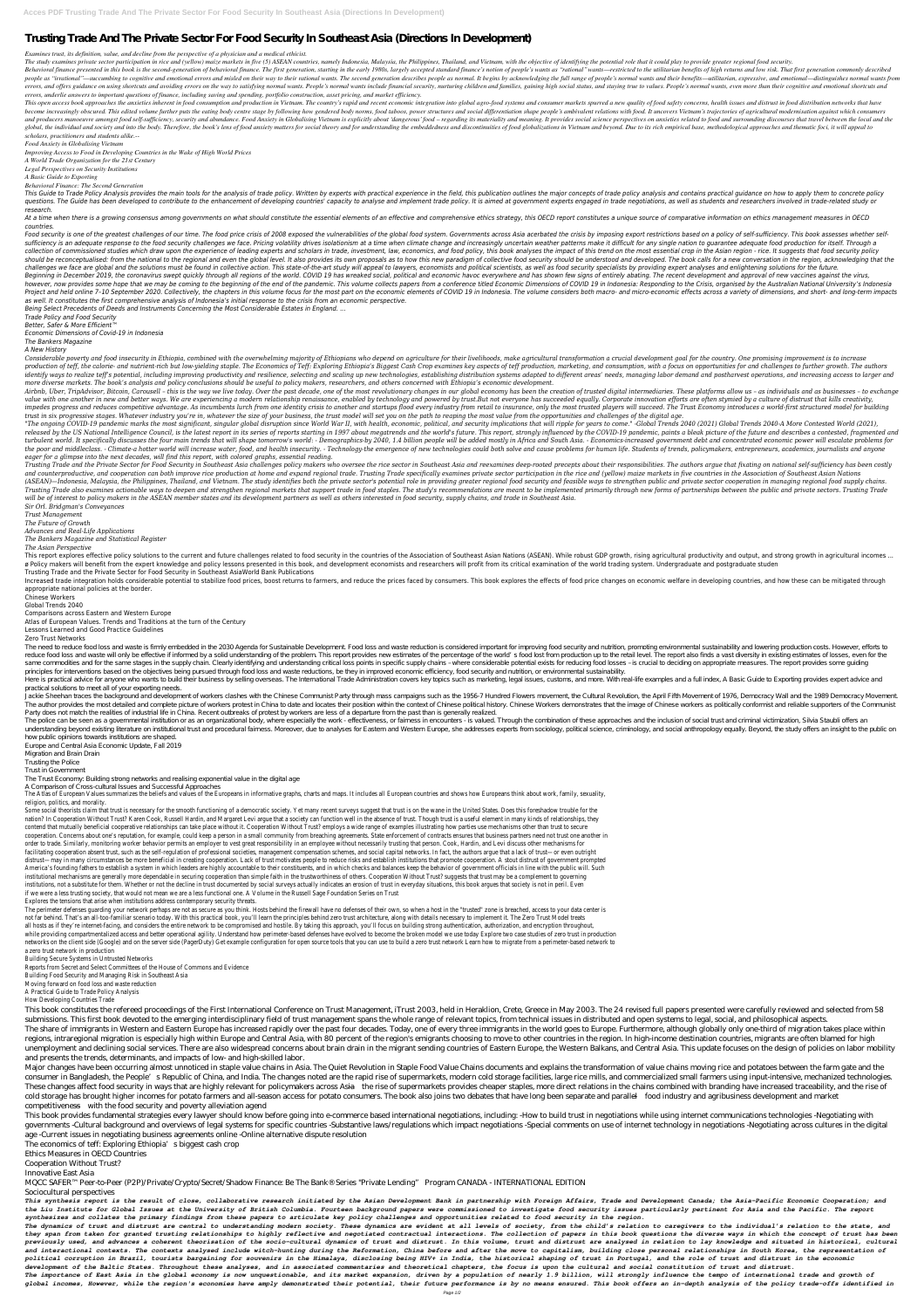## **Trusting Trade And The Private Sector For Food Security In Southeast Asia (Directions In Development)**

*Examines trust, its definition, value, and decline from the perspective of a physician and a medical ethicist.*

The study examines private sector participation in rice and (yellow) maize markets in five (5) ASEAN countries, namely Indonesia, Malaysia, the Philippines, Thailand, and Vietnam, with the objective of identifying the pote

Behavioral finance presented in this book is the second-generation of behavioral finance. The first generation, starting in the early 1980s, largely accepted standard finance's notion of people's wants as "rational" wants people as "irrational"—succumbing to cognitive and emotional errors and misled on their way to their rational wants. The second generation describes people as normal. It begins by acknowledging the full range of people's n errors, and offers guidance on using shortcuts and avoiding errors on the way to satisfying normal wants. People's normal wants include financial security, nurturing children and families, gaining high social status, and s *errors, underlie answers to important questions of finance, including saving and spending, portfolio construction, asset pricing, and market efficiency.*

This open access book approaches the anxieties inherent in food consumption and production in Vietnam. The country's rapid and recent economic integration into global agro-food systems and consumer markets spurred a new qu become increasingly obscured. This edited volume further puts the eating body centre stage by following how gendered body norms, food taboos, power structures and social differentiation shape people's ambivalent relations and producers manoeuvre amongst food self-sufficiency, security and abundance. Food Anxiety in Globalising Vietnam is explicitly about 'dangerous' food - regarding its materiality and meaning. It provides social science pe global, the individual and society and into the body. Therefore, the book's lens of food anxiety matters for social theory and for understanding the embeddedness and discontinuities of food globalizations in Vietnam and be *scholars, practitioners and students alike.--*

This Guide to Trade Policy Analysis provides the main tools for the analysis of trade policy. Written by experts with practical experience in the field, this publication outlines the major concepts of trade policy analysis questions. The Guide has been developed to contribute to the enhancement of developing countries' capacity to analyse and implement trade policy. It is aimed at government experts engaged in trade negotiations, as well as *research.*

At a time when there is a growing consensus among governments on what should constitute the essential elements of an effective and comprehensive ethics strategy, this OECD report constitutes a unique source of comparative *countries.*

*Food Anxiety in Globalising Vietnam*

*Improving Access to Food in Developing Countries in the Wake of High World Prices*

*A World Trade Organization for the 21st Century*

*Legal Perspectives on Security Institutions*

*A Basic Guide to Exporting*

Food security is one of the greatest challenges of our time. The food price crisis of 2008 exposed the vulnerabilities of the global food system. Governments across Asia acerbated the crisis by imposing export restrictions sufficiency is an adequate response to the food security challenges we face. Pricing volatility drives isolationism at a time when climate change and increasingly uncertain weather patterns make it difficult for any single collection of commissioned studies which draw upon the experience of leading experts and scholars in trade, investment, law, economics, and food policy, this book analyses the impact of this trend on the most essential cro should be reconceptualised: from the national to the regional and even the global level. It also provides its own proposals as to how this new paradigm of collective food security should be understood and developed. The bo challenges we face are global and the solutions must be found in collective action. This state-of-the-art study will appeal to lawyers, economists and political scientists, as well as food security specialists by providing Beginning in December 2019, the coronavirus swept quickly through all regions of the world. COVID 19 has wreaked social, political and economic havoc everywhere and has shown few signs of entirely abating. The recent devel however, now provides some hope that we may be coming to the beginning of the end of the pandemic. This volume collects papers from a conference titled Economic Dimensions of COVID 19 in Indonesia: Responding to the Crisis Project and held online 7-10 September 2020. Collectively, the chapters in this volume focus for the most part on the economic elements of COVID 19 in Indonesia. The volume considers both macro- and micro-economic effects *as well. It constitutes the first comprehensive analysis of Indonesia's initial response to the crisis from an economic perspective.*

*Behavioral Finance: The Second Generation*

Considerable poverty and food insecurity in Ethiopia, combined with the overwhelming majority of Ethiopians who depend on agriculture for their livelihoods, make agricultural transformation a crucial development goal for t production of teff, the calorie- and nutrient-rich but low-yielding staple. The Economics of Teff: Exploring Ethiopia's Biggest Cash Crop examines key aspects of teff production, marketing, and consumption, with a focus on identify ways to realize teff's potential, including improving productivity and resilience, selecting and scaling up new technologies, establishing distribution systems adapted to different areas' needs, managing labor dem *more diverse markets. The book's analysis and policy conclusions should be useful to policy makers, researchers, and others concerned with Ethiopia's economic development.*

Airbnb, Uber, TripAdvisor, Bitcoin, Carousell - this is the way we live today. Over the past decade, one of the most revolutionary changes in our global economy has been the creation of trusted digital intermediaries. Thes value with one another in new and better ways. We are experiencing a modern relationship renaissance, enabled by technology and powered by trust.But not everyone has succeeded equally. Corporate innovation efforts are ofte impedes progress and reduces competitive advantage. As incumbents lurch from one identity crisis to another and startups flood every industry from retail to insurance, only the most trusted players will succeed. The Trust trust in six progressive stages. Whatever industry you're in, whatever the size of your business, the trust model will set you on the path to reaping the most value from the opportunities and challenges of the digital age.

"The ongoing COVID-19 pandemic marks the most significant, singular global disruption since World War II, with health, economic, political, and security implications that will ripple for years to come." -Global Trends 2040 released by the US National Intelligence Council, is the latest report in its series of reports starting in 1997 about megatrends and the world's future. This report, strongly influenced by the COVID-19 pandemic, paints a turbulent world. It specifically discusses the four main trends that will shape tomorrow's world: - Demographics-by 2040, 1.4 billion people will be added mostly in Africa and South Asia. - Economics-increased government d the poor and middleclass. - Climate-a hotter world will increase water, food, and health insecurity. - Technology-the emergence of new technologies could both solve and cause problems for human life. Students of trends, po *eager for a glimpse into the next decades, will find this report, with colored graphs, essential reading.*

*Being Select Precedents of Deeds and Instruments Concerning the Most Considerable Estates in England. ...*

*Trade Policy and Food Security*

*Better, Safer & More Efficient™*

*Economic Dimensions of Covid-19 in Indonesia*

*The Bankers Magazine*

*A New History*

Trusting Trade and the Private Sector for Food Security in Southeast Asia challenges policy makers who oversee the rice sector in Southeast Asia and reexamines deep-rooted precepts about their responsibilities. The authors and counterproductive, and cooperation can both improve rice production at home and expand regional trade. Trusting Trade specifically examines private sector participation in the rice and (yellow) maize markets in five co (ASEAN)—Indonesia, Malaysia, the Philippines, Thailand, and Vietnam. The study identifies both the private sector's potential role in providing greater regional food security and feasible ways to strengthen public and priv Trusting Trade also examines actionable ways to deepen and strengthen regional markets that support trade in food staples. The study's recommendations are meant to be implemented primarily through new forms of partnerships *will be of interest to policy makers in the ASEAN member states and its development partners as well as others interested in food security, supply chains, and trade in Southeast Asia. Sir Orl. Bridgman's Conveyances Trust Management The Future of Growth Advances and Real-Life Applications The Bankers Magazine and Statistical Register The Asian Perspective* This report explores effective policy solutions to the current and future challenges related to food security in the countries of the Association of Southeast Asian Nations (ASEAN). While robust GDP growth, rising agricult ø Policy makers will benefit from the expert knowledge and policy lessons presented in this book, and development economists and researchers will profit from its critical examination of the world trading system. Undergradu Trusting Trade and the Private Sector for Food Security in Southeast AsiaWorld Bank Publications Increased trade integration holds considerable potential to stabilize food prices, boost returns to farmers, and reduce the prices faced by consumers. This book explores the effects of food price changes on economic welfar appropriate national policies at the border. Chinese Workers Global Trends 2040 Comparisons across Eastern and Western Europe Atlas of European Values. Trends and Traditions at the turn of the Century Lessons Learned and Good Practice Guidelines Zero Trust Networks The need to reduce food loss and waste is firmly embedded in the 2030 Agenda for Sustainable Development Food loss and waste reduction is considered important for improving food security and nutrition, promoting environmen reduce food loss and waste will only be effective if informed by a solid understanding of the problem. This report provides new estimates of the percentage of the world's food lost from production up to the retail level. T same commodities and for the same stages in the supply chain. Clearly identifying and understanding critical loss points in specific supply chains - where considerable potential exists for reducing food losses - is crucial principles for interventions based on the objectives being pursued through food loss and waste reductions, be they in improved economic efficiency, food security and nutrition, or environmental sustainability. Here is practical advice for anyone who wants to build their business by selling overseas. The International Trade Administration covers key topics such as marketing, legal issues, customs, and more. With real-life example practical solutions to meet all of your exporting needs. Jackie Sheehan traces the background and development of workers clashes with the Chinese Communist Party through mass campaigns such as the 1956-7 Hundred Flowers movement, the Cultural Revolution, the April Fifth Movement The author provides the most detailed and complete picture of workers protest in China to date and locates their position within the context of Chinese Workers demonstrates that the image of Chinese workers as politically Party does not match the realities of industrial life in China. Recent outbreaks of protest by workers are less of a departure from the past than is generally realized. The police can be seen as a governmental institution or as an organizational body, where especially the work - effectiveness, or fairness in encounters - is valued. Through the combination of these approaches and the inclu understanding beyond existing literature on institutional trust and procedural fairness. Moreover, due to analyses for Eastern and Western Europe, she addresses experts from sociology, political science, criminology, and s how public opinions towards institutions are shaped. Europe and Central Asia Economic Update, Fall 2019 Migration and Brain Drain Trusting the Police Trust in Government The Trust Economy: Building strong networks and realising exponential value in the digital age A Comparison of Cross-cultural Issues and Successful Approaches The Atlas of European Values summarizes the beliefs and values of the Europeans in informative graphs, charts and maps. It includes all European countries and shows how Europeans think about work, family, sexuality, religion, politics, and morality. Some social theorists claim that trust is necessary for the smooth functioning of a democratic society. Yet many recent surveys suggest that trust is on the wane in the United States. Does this foreshadow trouble for the nation? In Cooperation Without Trust? Karen Cook, Russell Hardin, and Margaret Levi argue that a society can function well in the absence of trust. Though trust is a useful element in many kinds of relationships, they contend that mutually beneficial cooperative relationships can take place without it. Cooperation Without Trust? employs a wide range of examples illustrating how parties use mechanisms other than trust to secure cooperation. Concerns about one's reputation, for example, could keep a person in a small community from breaching agreements. State enforcement of contracts ensures that business partners need not trust one another in order to trade. Similarly, monitoring worker behavior permits an employer to vest great responsibility in an employee without necessarily trusting that person. Cook, Hardin, and Levi discuss other mechanisms for facilitating cooperation absent trust, such as the self-regulation of professional societies, management compensation schemes, and social capital networks. In fact, the authors argue that a lack of trust—or even outright distrust—may in many circumstances be more beneficial in creating cooperation. Lack of trust motivates people to reduce risks and establish institutions that promote cooperation. A stout distrust of government prompted America's founding fathers to establish a system in which leaders are highly accountable to their constituents, and in which checks and balances keep the behavior of government officials in line with the public will. Such institutional mechanisms are generally more dependable in securing cooperation than simple faith in the trustworthiness of others. Cooperation Without Trust? suggests that trust may be a complement to governing institutions, not a substitute for them. Whether or not the decline in trust documented by social surveys actually indicates an erosion of trust in everyday situations, this book argues that society is not in peril. Even if we were a less trusting society, that would not mean we are a less functional one. A Volume in the Russell Sage Foundation Series on Trust Explores the tensions that arise when institutions address contemporary security threats. The perimeter defenses guarding your network perhaps are not as secure as you think. Hosts behind the firewall have no defenses of their own, so when a host in the "trusted" zone is breached, access to your data center is not far behind. That's an all-too-familiar scenario today. With this practical book, you'll learn the principles behind zero trust architecture, along with details necessary to implement it. The Zero Trust Model treats all hosts as if they're internet-facing, and considers the entire network to be compromised and hostile. By taking this approach, you'll focus on building strong authentication, authorization, and encryption throughout, while providing compartmentalized access and better operational agility. Understand how perimeter-based defenses have evolved to become the broken model we use today Explore two case studies of zero trust in production networks on the client side (Google) and on the server side (PagerDuty) Get example configuration for open source tools that you can use to build a zero trust network Learn how to migrate from a perimeter-based network to a zero trust network in production Building Secure Systems in Untrusted Networks Reports from Secret and Select Committees of the House of Commons and Evidence Building Food Security and Managing Risk in Southeast Asia Moving forward on food loss and waste reduction

This book constitutes the refereed proceedings of the First International Conference on Trust Management, iTrust 2003, held in Heraklion, Crete, Greece in May 2003. The 24 revised full papers presented were carefully revie submissions. This first book devoted to the emerging interdisciplinary field of trust management spans the whole range of relevant topics, from technical issues in distributed and open systems to legal, social, and philoso The share of immigrants in Western and Eastern Europe has increased rapidly over the past four decades. Today, one of every three immigrants in the world goes to Europe. Furthermore, although globally only one-third of mig regions, intraregional migration is especially high within Europe and Central Asia, with 80 percent of the region's emigrants choosing to move to other countries in the region. In high-income destination countries, migrant unemployment and declining social services. There are also widespread concerns about brain drain in the migrant sending countries of Eastern Europe, the Western Balkans, and Central Asia. This update focuses on the design and presents the trends, determinants, and impacts of low- and high-skilled labor.

Major changes have been occurring almost unnoticed in staple value chains in Asia. The Quiet Revolution in Staple Food Value Chains documents and explains the transformation of value chains moving rice and potatoes between consumer in Bangladesh, the People's Republic of China, and India. The changes noted are the rapid rise of supermarkets, modern cold storage facilities, large rice mills, and commercialized small farmers using input-intens These changes affect food security in ways that are highly relevant for policymakers across Asia—the rise of supermarkets provides cheaper staples, more direct relations in the chains combined with branding have increased cold storage has brought higher incomes for potato farmers and all-season access for potato consumers. The book also joins two debates that have long been separate and parallel—food industry and agribusiness development an competitiveness—with the food security and poverty alleviation agend

This book provides fundamental strategies every lawyer should know before going into e-commerce based international negotiations, including: -How to build trust in negotiations while using internet communications technolog governments -Cultural background and overviews of legal systems for specific countries -Substantive laws/regulations which impact negotiations -Special comments on use of internet technology in negotiations -Negotiating ac age -Current issues in negotiating business agreements online -Online alternative dispute resolution

The economics of teff: Exploring Ethiopia's biggest cash crop

This synthesis report is the result of close, collaborative research initiated by the Asian Development Bank in partnership with Foreign Affairs, Trade and Development Canada; the Asia-Pacific Economic Cooperation; and *the Liu Institute for Global Issues at the University of British Columbia. Fourteen background papers were commissioned to investigate food security issues particularly pertinent for Asia and the Pacific. The report synthesizes and collates the primary findings from these papers to articulate key policy challenges and opportunities related to food security in the region.*

The dynamics of trust and distrust are central to understanding modern society. These dynamics are evident at all levels of society, from the child's relation to caregivers to the individual's relation to the state, and they span from taken for granted trusting relationships to highly reflective and negotiated contractual interactions. The collection of papers in this book questions the diverse ways in which the concept of trust has been previously used, and advances a coherent theorisation of the socio-cultural dynamics of trust and distrust and distrust are analysed in relation to lay knowledge and situated in historical, cultural and interactional contexts. The contexts analysed include witch-hunting during the Reformation, China before and after the move to capitalism, building close personal relationships in South Korea, the representation of *political corruption in Brazil, tourists bargaining for souvenirs in the Himalaya, disclosing being HIV+ in India, the historical shaping of trust in Portugal, and the role of trust and distrust in the economic development of the Baltic States. Throughout these analyses, and in associated commentaries and theoretical chapters, the focus is upon the cultural and social constitution of trust and distrust. The importance of East Asia in the global economy is now unquestionable, and its market expansion, driven by a population of nearly 1.9 billion, will strongly influence the tempo of international trade and growth of* global incomes, However, while the region's economies have amply demonstrated their potential, their future performance is by no means ensured. This book offers an in-depth analysis of the policy trade-offs identified in

A Practical Guide to Trade Policy Analysis How Developing Countries Trade

Ethics Measures in OECD Countries

Cooperation Without Trust?

Innovative East Asia

MQCC SAFER™ Peer-to-Peer (P2P)/Private/Crypto/Secret/Shadow Finance: Be The Bank® Series "Private Lending" Program CANADA - INTERNATIONAL EDITION

Sociocultural perspectives